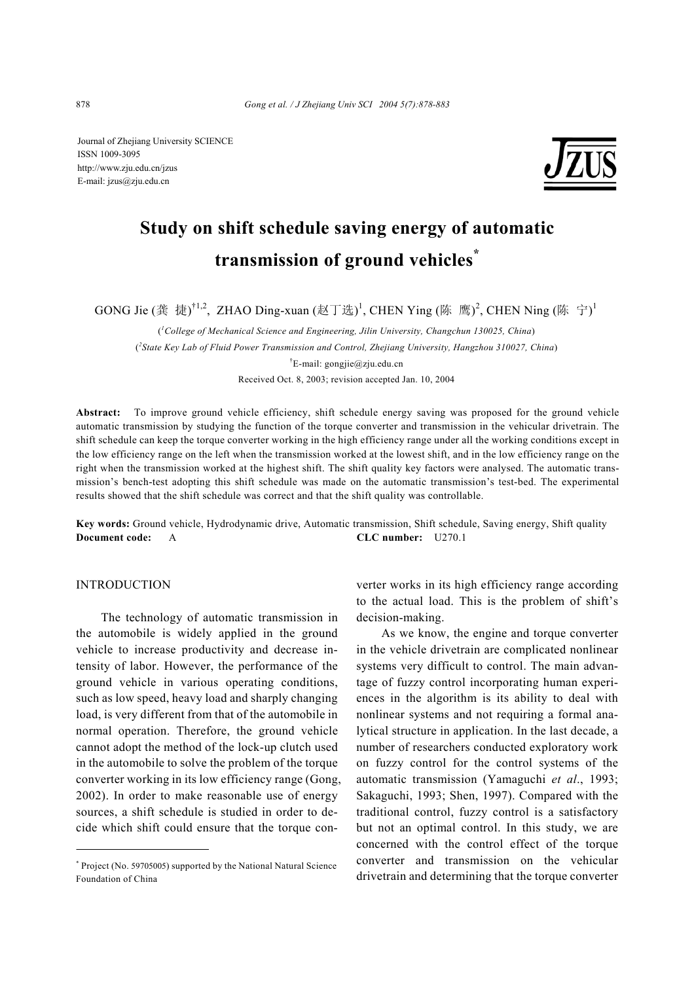Journal of Zhejiang University SCIENCE ISSN 1009-3095 http://www.zju.edu.cn/jzus E-mail: jzus@zju.edu.cn



# **Study on shift schedule saving energy of automatic transmission of ground vehicles\***

GONG Jie (龚 捷)<sup>†1,2</sup>, ZHAO Ding-xuan (赵丁选)<sup>1</sup>, CHEN Ying (陈 鹰)<sup>2</sup>, CHEN Ning (陈 宁)<sup>1</sup>

( *1 College of Mechanical Science and Engineering, Jilin University, Changchun 130025, China*) ( *2 State Key Lab of Fluid Power Transmission and Control, Zhejiang University, Hangzhou 310027, China*) † E-mail: gongjie@zju.edu.cn Received Oct. 8, 2003; revision accepted Jan. 10, 2004

**Abstract:** To improve ground vehicle efficiency, shift schedule energy saving was proposed for the ground vehicle automatic transmission by studying the function of the torque converter and transmission in the vehicular drivetrain. The shift schedule can keep the torque converter working in the high efficiency range under all the working conditions except in the low efficiency range on the left when the transmission worked at the lowest shift, and in the low efficiency range on the right when the transmission worked at the highest shift. The shift quality key factors were analysed. The automatic transmission's bench-test adopting this shift schedule was made on the automatic transmission's test-bed. The experimental results showed that the shift schedule was correct and that the shift quality was controllable.

**Key words:** Ground vehicle, Hydrodynamic drive, Automatic transmission, Shift schedule, Saving energy, Shift quality **Document code:** A **CLC number:** U270.1

#### INTRODUCTION

The technology of automatic transmission in the automobile is widely applied in the ground vehicle to increase productivity and decrease intensity of labor. However, the performance of the ground vehicle in various operating conditions, such as low speed, heavy load and sharply changing load, is very different from that of the automobile in normal operation. Therefore, the ground vehicle cannot adopt the method of the lock-up clutch used in the automobile to solve the problem of the torque converter working in its low efficiency range (Gong, 2002). In order to make reasonable use of energy sources, a shift schedule is studied in order to decide which shift could ensure that the torque converter works in its high efficiency range according to the actual load. This is the problem of shift's decision-making.

As we know, the engine and torque converter in the vehicle drivetrain are complicated nonlinear systems very difficult to control. The main advantage of fuzzy control incorporating human experiences in the algorithm is its ability to deal with nonlinear systems and not requiring a formal analytical structure in application. In the last decade, a number of researchers conducted exploratory work on fuzzy control for the control systems of the automatic transmission (Yamaguchi *et al*., 1993; Sakaguchi, 1993; Shen, 1997). Compared with the traditional control, fuzzy control is a satisfactory but not an optimal control. In this study, we are concerned with the control effect of the torque converter and transmission on the vehicular drivetrain and determining that the torque converter

<sup>\*</sup> Project (No. 59705005) supported by the National Natural Science Foundation of China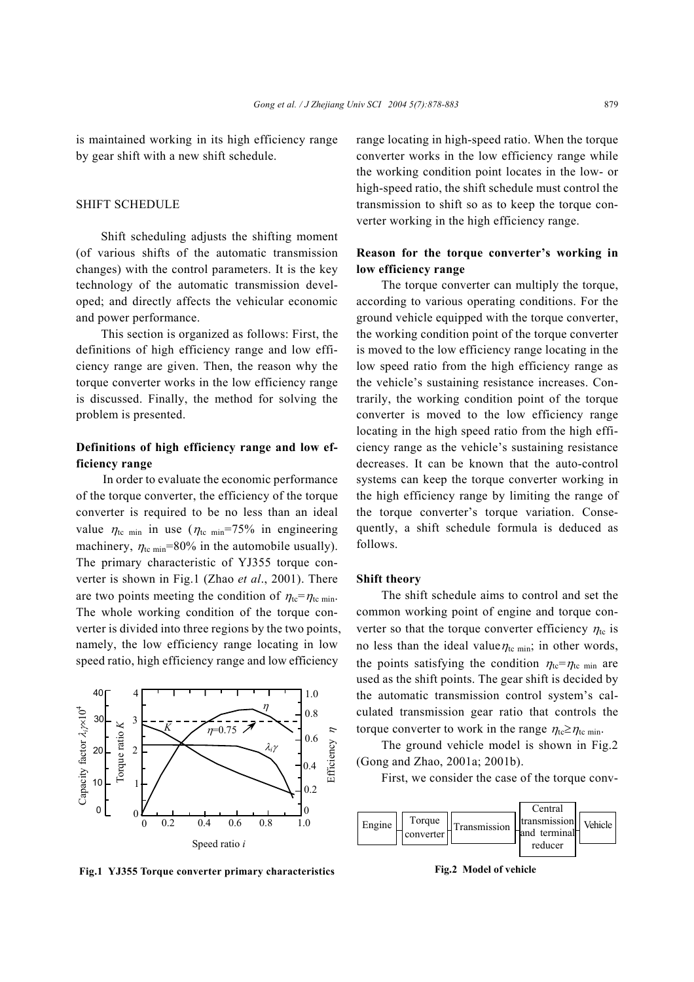is maintained working in its high efficiency range by gear shift with a new shift schedule.

### SHIFT SCHEDULE

Shift scheduling adjusts the shifting moment (of various shifts of the automatic transmission changes) with the control parameters. It is the key technology of the automatic transmission developed; and directly affects the vehicular economic and power performance.

This section is organized as follows: First, the definitions of high efficiency range and low efficiency range are given. Then, the reason why the torque converter works in the low efficiency range is discussed. Finally, the method for solving the problem is presented.

# **Definitions of high efficiency range and low efficiency range**

In order to evaluate the economic performance of the torque converter, the efficiency of the torque converter is required to be no less than an ideal value  $\eta_{\text{tc min}}$  in use ( $\eta_{\text{tc min}}$ =75% in engineering machinery,  $\eta_{\text{tc min}}$ =80% in the automobile usually). The primary characteristic of YJ355 torque converter is shown in Fig.1 (Zhao *et al*., 2001). There are two points meeting the condition of  $\eta_{\rm tc} = \eta_{\rm tc \, min}$ . The whole working condition of the torque converter is divided into three regions by the two points, namely, the low efficiency range locating in low speed ratio, high efficiency range and low efficiency

#### Efficiency η Torque ratio **Torque** ratio K *K* η  $\frac{2}{\eta=0.75}$ λ*i*<sup>γ</sup>  $\frac{1}{1.0}$ 0.2 1.0 0.4 0.6 0.8 1  $0\frac{L}{0}$ 2 3 4 0 0.2 0.4 0.6 0.8 1.0 0 30 20 10 Capacity factor  $\lambda_i$ γ× $10^4$ 40 Speed ratio *i*

**Fig.1 YJ355 Torque converter primary characteristics**

range locating in high-speed ratio. When the torque converter works in the low efficiency range while the working condition point locates in the low- or high-speed ratio, the shift schedule must control the transmission to shift so as to keep the torque converter working in the high efficiency range.

# **Reason for the torque converter's working in low efficiency range**

The torque converter can multiply the torque, according to various operating conditions. For the ground vehicle equipped with the torque converter, the working condition point of the torque converter is moved to the low efficiency range locating in the low speed ratio from the high efficiency range as the vehicle's sustaining resistance increases. Contrarily, the working condition point of the torque converter is moved to the low efficiency range locating in the high speed ratio from the high efficiency range as the vehicle's sustaining resistance decreases. It can be known that the auto-control systems can keep the torque converter working in the high efficiency range by limiting the range of the torque converter's torque variation. Consequently, a shift schedule formula is deduced as follows.

#### **Shift theory**

The shift schedule aims to control and set the common working point of engine and torque converter so that the torque converter efficiency  $\eta_{tc}$  is no less than the ideal value $\eta_{\text{tc min}}$ ; in other words, the points satisfying the condition  $\eta_{\text{tc}} = \eta_{\text{tc}}$  min are used as the shift points. The gear shift is decided by the automatic transmission control system's calculated transmission gear ratio that controls the torque converter to work in the range  $\eta_{\text{tc}} \geq \eta_{\text{tc min}}$ .

The ground vehicle model is shown in Fig.2 (Gong and Zhao, 2001a; 2001b).

First, we consider the case of the torque conv-



**Fig.2 Model of vehicle**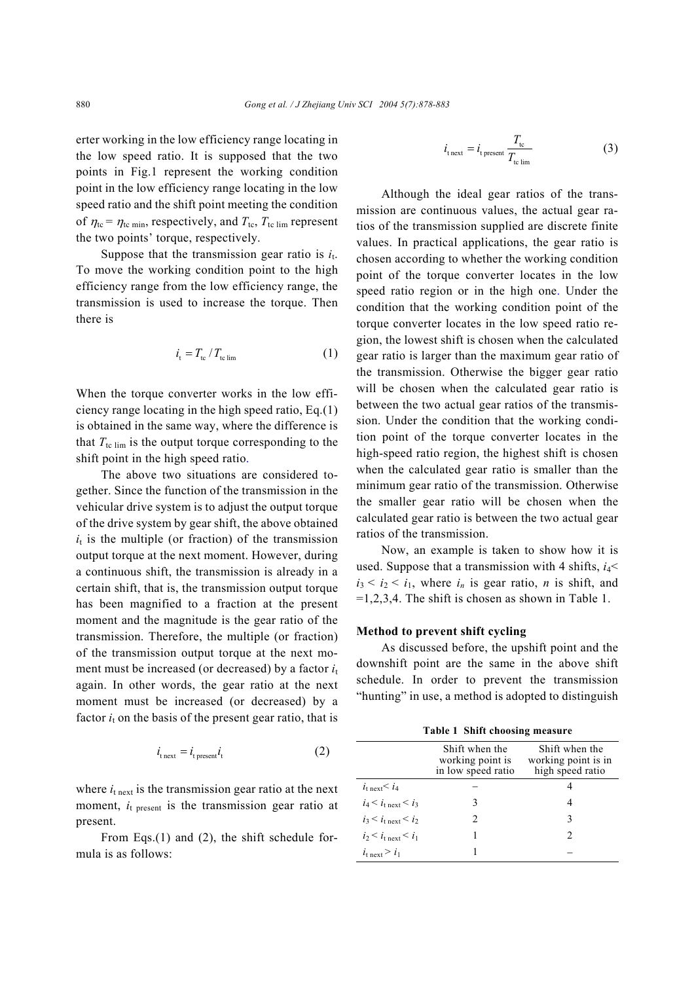erter working in the low efficiency range locating in the low speed ratio. It is supposed that the two points in Fig.1 represent the working condition point in the low efficiency range locating in the low speed ratio and the shift point meeting the condition of  $\eta_{\text{tc}} = \eta_{\text{tc min}}$ , respectively, and  $T_{\text{tc}}$ ,  $T_{\text{tc lim}}$  represent the two points' torque, respectively.

Suppose that the transmission gear ratio is  $i_t$ . To move the working condition point to the high efficiency range from the low efficiency range, the transmission is used to increase the torque. Then there is

$$
i_{\rm t} = T_{\rm tc}/T_{\rm tc\,lim} \tag{1}
$$

When the torque converter works in the low efficiency range locating in the high speed ratio, Eq.(1) is obtained in the same way, where the difference is that  $T_{\text{tc lim}}$  is the output torque corresponding to the shift point in the high speed ratio.

The above two situations are considered together. Since the function of the transmission in the vehicular drive system is to adjust the output torque of the drive system by gear shift, the above obtained  $i_t$  is the multiple (or fraction) of the transmission output torque at the next moment. However, during a continuous shift, the transmission is already in a certain shift, that is, the transmission output torque has been magnified to a fraction at the present moment and the magnitude is the gear ratio of the transmission. Therefore, the multiple (or fraction) of the transmission output torque at the next moment must be increased (or decreased) by a factor  $i_t$ again. In other words, the gear ratio at the next moment must be increased (or decreased) by a factor  $i_t$  on the basis of the present gear ratio, that is

$$
i_{\text{t next}} = i_{\text{t present}} i_{\text{t}} \tag{2}
$$

where  $i_{\text{t next}}$  is the transmission gear ratio at the next moment,  $i_t$  present is the transmission gear ratio at present.

From Eqs.(1) and (2), the shift schedule formula is as follows:

$$
i_{\text{t next}} = i_{\text{t present}} \frac{T_{\text{t}}}{T_{\text{t c lim}}} \tag{3}
$$

Although the ideal gear ratios of the transmission are continuous values, the actual gear ratios of the transmission supplied are discrete finite values. In practical applications, the gear ratio is chosen according to whether the working condition point of the torque converter locates in the low speed ratio region or in the high one. Under the condition that the working condition point of the torque converter locates in the low speed ratio region, the lowest shift is chosen when the calculated gear ratio is larger than the maximum gear ratio of the transmission. Otherwise the bigger gear ratio will be chosen when the calculated gear ratio is between the two actual gear ratios of the transmission. Under the condition that the working condition point of the torque converter locates in the high-speed ratio region, the highest shift is chosen when the calculated gear ratio is smaller than the minimum gear ratio of the transmission. Otherwise the smaller gear ratio will be chosen when the calculated gear ratio is between the two actual gear ratios of the transmission.

Now, an example is taken to show how it is used. Suppose that a transmission with 4 shifts,  $i_4$ <  $i_3 < i_2 < i_1$ , where  $i_n$  is gear ratio, *n* is shift, and  $=1,2,3,4$ . The shift is chosen as shown in Table 1.

#### **Method to prevent shift cycling**

As discussed before, the upshift point and the downshift point are the same in the above shift schedule. In order to prevent the transmission "hunting" in use, a method is adopted to distinguish

| Table 1 Shift choosing measure |  |  |
|--------------------------------|--|--|
|--------------------------------|--|--|

|                                  | Shift when the<br>working point is<br>in low speed ratio | Shift when the<br>working point is in<br>high speed ratio |
|----------------------------------|----------------------------------------------------------|-----------------------------------------------------------|
| $i_{\text{t next}} < i_4$        |                                                          |                                                           |
| $i_4 < i_{\rm next} < i_3$       |                                                          |                                                           |
| $i_3 < i_{1 \text{ next}} < i_2$ | 2                                                        | 3                                                         |
| $i_2 < i_{\rm t next} < i_1$     |                                                          | 2                                                         |
| $i_{\text{t next}} > i_1$        |                                                          |                                                           |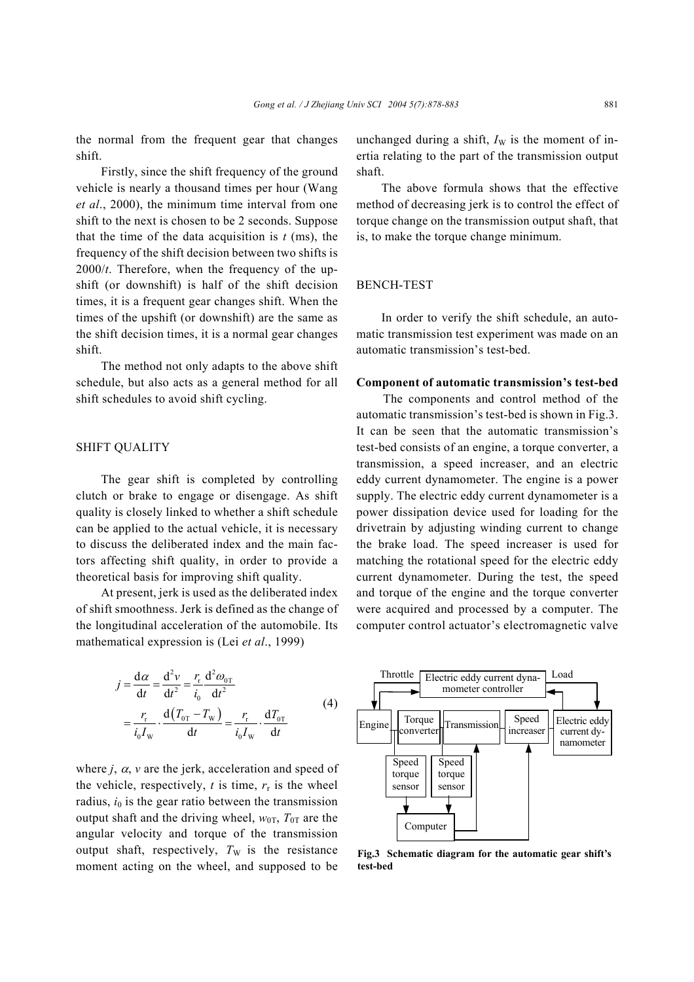the normal from the frequent gear that changes shift.

Firstly, since the shift frequency of the ground vehicle is nearly a thousand times per hour (Wang *et al*., 2000), the minimum time interval from one shift to the next is chosen to be 2 seconds. Suppose that the time of the data acquisition is *t* (ms), the frequency of the shift decision between two shifts is 2000/t. Therefore, when the frequency of the upshift (or downshift) is half of the shift decision times, it is a frequent gear changes shift. When the times of the upshift (or downshift) are the same as the shift decision times, it is a normal gear changes shift.

The method not only adapts to the above shift schedule, but also acts as a general method for all shift schedules to avoid shift cycling.

#### SHIFT QUALITY

The gear shift is completed by controlling clutch or brake to engage or disengage. As shift quality is closely linked to whether a shift schedule can be applied to the actual vehicle, it is necessary to discuss the deliberated index and the main factors affecting shift quality, in order to provide a theoretical basis for improving shift quality.

At present, jerk is used as the deliberated index of shift smoothness. Jerk is defined as the change of the longitudinal acceleration of the automobile. Its mathematical expression is (Lei *et al*., 1999)

$$
j = \frac{d\alpha}{dt} = \frac{d^2v}{dt^2} = \frac{r_r}{i_0} \frac{d^2\omega_{0T}}{dt^2}
$$
  
= 
$$
\frac{r_r}{i_0 I_w} \cdot \frac{d(T_{0T} - T_w)}{dt} = \frac{r_r}{i_0 I_w} \cdot \frac{dT_{0T}}{dt}
$$
(4)

where  $j$ ,  $\alpha$ ,  $\nu$  are the jerk, acceleration and speed of the vehicle, respectively,  $t$  is time,  $r_r$  is the wheel radius,  $i_0$  is the gear ratio between the transmission output shaft and the driving wheel,  $w_{0T}$ ,  $T_{0T}$  are the angular velocity and torque of the transmission output shaft, respectively,  $T_W$  is the resistance moment acting on the wheel, and supposed to be

unchanged during a shift,  $I_W$  is the moment of inertia relating to the part of the transmission output shaft.

The above formula shows that the effective method of decreasing jerk is to control the effect of torque change on the transmission output shaft, that is, to make the torque change minimum.

#### BENCH-TEST

In order to verify the shift schedule, an automatic transmission test experiment was made on an automatic transmission's test-bed.

#### **Component of automatic transmission's test-bed**

The components and control method of the automatic transmission's test-bed is shown in Fig.3. It can be seen that the automatic transmission's test-bed consists of an engine, a torque converter, a transmission, a speed increaser, and an electric eddy current dynamometer. The engine is a power supply. The electric eddy current dynamometer is a power dissipation device used for loading for the drivetrain by adjusting winding current to change the brake load. The speed increaser is used for matching the rotational speed for the electric eddy current dynamometer. During the test, the speed and torque of the engine and the torque converter were acquired and processed by a computer. The computer control actuator's electromagnetic valve



**Fig.3 Schematic diagram for the automatic gear shift's test-bed**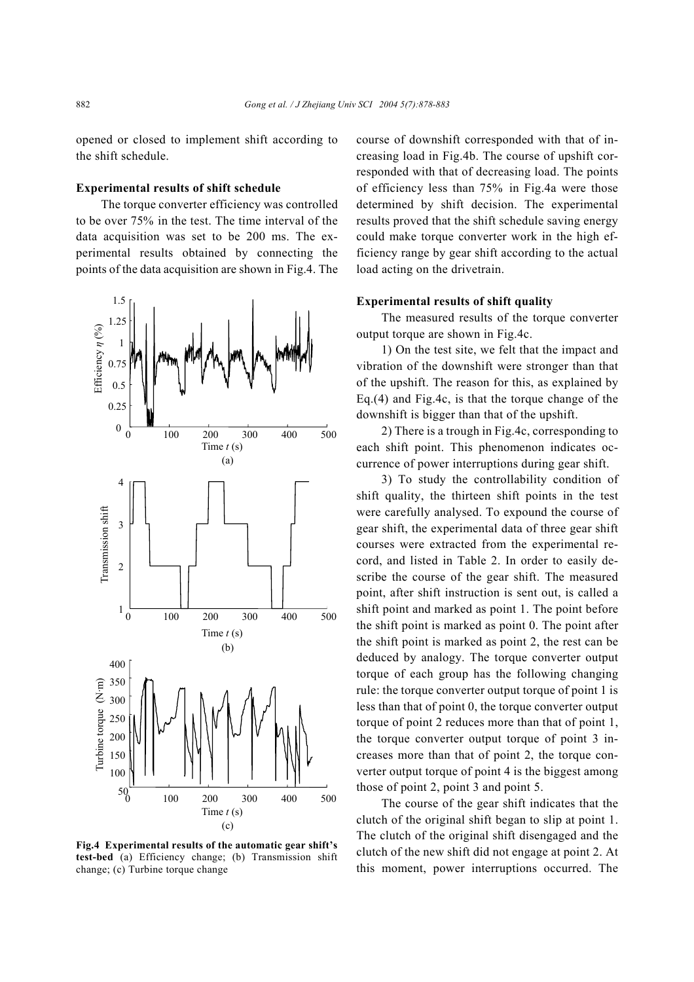opened or closed to implement shift according to the shift schedule.

#### **Experimental results of shift schedule**

The torque converter efficiency was controlled to be over 75% in the test. The time interval of the data acquisition was set to be 200 ms. The experimental results obtained by connecting the points of the data acquisition are shown in Fig.4. The



**Fig.4 Experimental results of the automatic gear shift's test-bed** (a) Efficiency change; (b) Transmission shift change; (c) Turbine torque change

course of downshift corresponded with that of increasing load in Fig.4b. The course of upshift corresponded with that of decreasing load. The points of efficiency less than 75% in Fig.4a were those determined by shift decision. The experimental results proved that the shift schedule saving energy could make torque converter work in the high efficiency range by gear shift according to the actual load acting on the drivetrain.

#### **Experimental results of shift quality**

The measured results of the torque converter output torque are shown in Fig.4c.

1) On the test site, we felt that the impact and vibration of the downshift were stronger than that of the upshift. The reason for this, as explained by Eq.(4) and Fig.4c, is that the torque change of the downshift is bigger than that of the upshift.

2) There is a trough in Fig.4c, corresponding to each shift point. This phenomenon indicates occurrence of power interruptions during gear shift.

3) To study the controllability condition of shift quality, the thirteen shift points in the test were carefully analysed. To expound the course of gear shift, the experimental data of three gear shift courses were extracted from the experimental record, and listed in Table 2. In order to easily describe the course of the gear shift. The measured point, after shift instruction is sent out, is called a shift point and marked as point 1. The point before the shift point is marked as point 0. The point after the shift point is marked as point 2, the rest can be deduced by analogy. The torque converter output torque of each group has the following changing rule: the torque converter output torque of point 1 is less than that of point 0, the torque converter output torque of point 2 reduces more than that of point 1, the torque converter output torque of point 3 increases more than that of point 2, the torque converter output torque of point 4 is the biggest among those of point 2, point 3 and point 5.

The course of the gear shift indicates that the clutch of the original shift began to slip at point 1. The clutch of the original shift disengaged and the clutch of the new shift did not engage at point 2. At this moment, power interruptions occurred. The